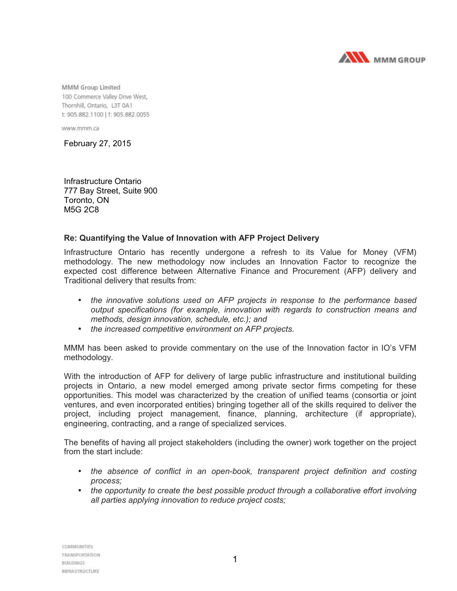

MMM Group Limited 100 Commerce Valley Drive West, Thornhill, Ontario, L3T 0A1 t: 905.882.1100 | f: 905.882.0055

www.mmm.ca

February 27, 2015

Infrastructure Ontario 777 Bay Street, Suite 900 Toronto, ON M5G 2C8

## **Re: Quantifying the Value of Innovation with AFP Project Delivery**

Infrastructure Ontario has recently undergone a refresh to its Value for Money (VFM) methodology. The new methodology now includes an Innovation Factor to recognize the expected cost difference between Alternative Finance and Procurement (AFP) delivery and Traditional delivery that results from:

- *the innovative solutions used on AFP projects in response to the performance based output specifications (for example, innovation with regards to construction means and methods, design innovation, schedule, etc.); and*
- *the increased competitive environment on AFP projects.*

MMM has been asked to provide commentary on the use of the Innovation factor in IO's VFM methodology.

With the introduction of AFP for delivery of large public infrastructure and institutional building projects in Ontario, a new model emerged among private sector firms competing for these opportunities. This model was characterized by the creation of unified teams (consortia or joint ventures, and even incorporated entities) bringing together all of the skills required to deliver the project, including project management, finance, planning, architecture (if appropriate), engineering, contracting, and a range of specialized services.

The benefits of having all project stakeholders (including the owner) work together on the project from the start include:

- the absence of conflict in an open-book, transparent project definition and costing *process;*
- *the opportunity to create the best possible product through a collaborative effort involving all parties applying innovation to reduce project costs;*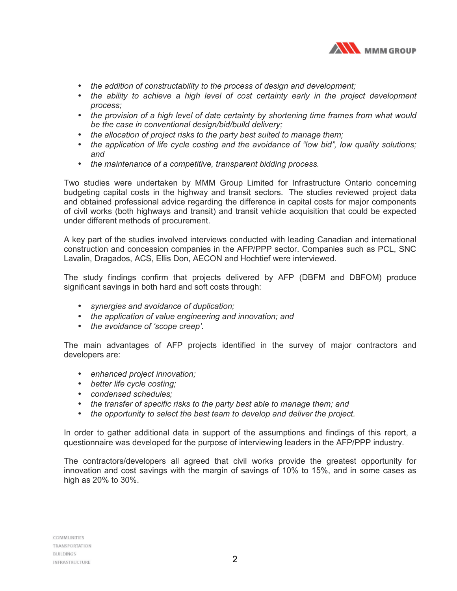

- *the addition of constructability to the process of design and development;*
- *the ability to achieve a high level of cost certainty early in the project development process;*
- *the provision of a high level of date certainty by shortening time frames from what would be the case in conventional design/bid/build delivery;*
- *the allocation of project risks to the party best suited to manage them;*
- *the application of life cycle costing and the avoidance of "low bid", low quality solutions; and*
- *the maintenance of a competitive, transparent bidding process.*

Two studies were undertaken by MMM Group Limited for Infrastructure Ontario concerning budgeting capital costs in the highway and transit sectors. The studies reviewed project data and obtained professional advice regarding the difference in capital costs for major components of civil works (both highways and transit) and transit vehicle acquisition that could be expected under different methods of procurement.

A key part of the studies involved interviews conducted with leading Canadian and international construction and concession companies in the AFP/PPP sector. Companies such as PCL, SNC Lavalin, Dragados, ACS, Ellis Don, AECON and Hochtief were interviewed.

The study findings confirm that projects delivered by AFP (DBFM and DBFOM) produce significant savings in both hard and soft costs through:

- *synergies and avoidance of duplication;*
- *the application of value engineering and innovation; and*
- *the avoidance of 'scope creep'.*

The main advantages of AFP projects identified in the survey of major contractors and developers are:

- *enhanced project innovation;*
- *better life cycle costing;*
- *condensed schedules;*
- *the transfer of specific risks to the party best able to manage them; and*
- *the opportunity to select the best team to develop and deliver the project.*

In order to gather additional data in support of the assumptions and findings of this report, a questionnaire was developed for the purpose of interviewing leaders in the AFP/PPP industry.

The contractors/developers all agreed that civil works provide the greatest opportunity for innovation and cost savings with the margin of savings of 10% to 15%, and in some cases as high as 20% to 30%.